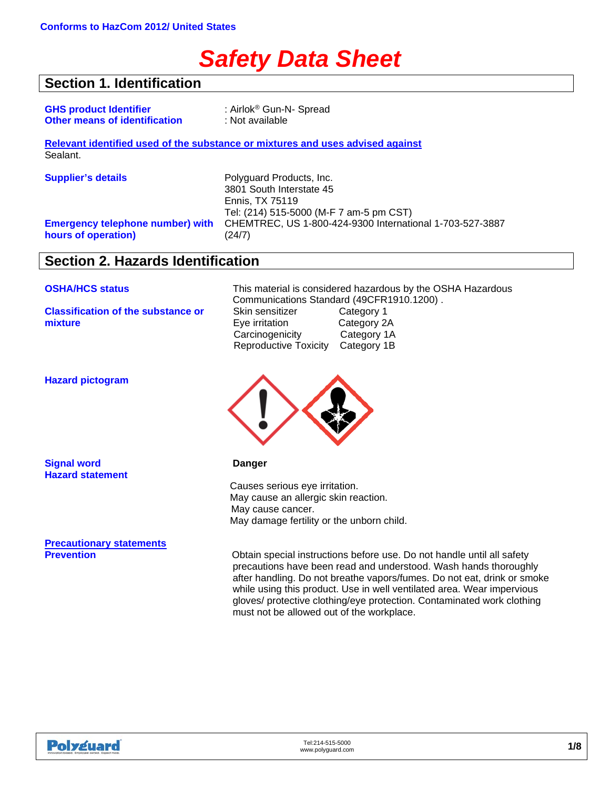# *Safety Data Sheet*

### **Section 1. Identification**

| <b>GHS product Identifier</b> |                                      |
|-------------------------------|--------------------------------------|
|                               | <b>Other means of identification</b> |

: Airlok<sup>®</sup> Gun-N- Spread **Other means of identification** : Not available

**Relevant identified used of the substance or mixtures and uses advised against** Sealant.

**Emergency telephone number) with hours of operation)**

**Supplier's details Polyguard Products, Inc.** 3801 South Interstate 45 Ennis, TX 75119 Tel: (214) 515-5000 (M-F 7 am-5 pm CST) CHEMTREC, US 1-800-424-9300 International 1-703-527-3887 (24/7)

### **Section 2. Hazards Identification**

**Classification of the substance or mixture**

**OSHA/HCS status** This material is considered hazardous by the OSHA Hazardous Communications Standard (49CFR1910.1200).<br>Skin sensitizer Category 1 Skin sensitizer Eye irritation Category 2A Carcinogenicity Category 1A Reproductive Toxicity Category 1B

**Hazard pictogram**

**Signal word Danger Hazard statement**

**Precautionary statements**



Causes serious eye irritation. May cause an allergic skin reaction. May cause cancer. May damage fertility or the unborn child.

**Previole instructions before use. Do not handle until all safety of the obtain special instruction** precautions have been read and understood. Wash hands thoroughly after handling. Do not breathe vapors/fumes. Do not eat, drink or smoke while using this product. Use in well ventilated area. Wear impervious gloves/ protective clothing/eye protection. Contaminated work clothing must not be allowed out of the workplace.

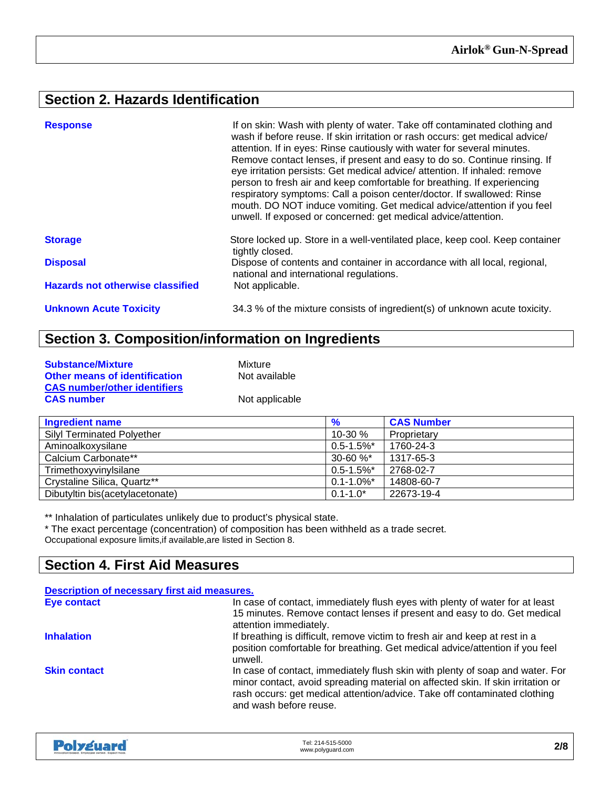### **Section 2. Hazards Identification**

| <b>Response</b>                         | If on skin: Wash with plenty of water. Take off contaminated clothing and<br>wash if before reuse. If skin irritation or rash occurs: get medical advice/<br>attention. If in eyes: Rinse cautiously with water for several minutes.<br>Remove contact lenses, if present and easy to do so. Continue rinsing. If<br>eye irritation persists: Get medical advice/ attention. If inhaled: remove<br>person to fresh air and keep comfortable for breathing. If experiencing<br>respiratory symptoms: Call a poison center/doctor. If swallowed: Rinse<br>mouth. DO NOT induce vomiting. Get medical advice/attention if you feel<br>unwell. If exposed or concerned: get medical advice/attention. |
|-----------------------------------------|---------------------------------------------------------------------------------------------------------------------------------------------------------------------------------------------------------------------------------------------------------------------------------------------------------------------------------------------------------------------------------------------------------------------------------------------------------------------------------------------------------------------------------------------------------------------------------------------------------------------------------------------------------------------------------------------------|
| <b>Storage</b>                          | Store locked up. Store in a well-ventilated place, keep cool. Keep container<br>tightly closed.                                                                                                                                                                                                                                                                                                                                                                                                                                                                                                                                                                                                   |
| <b>Disposal</b>                         | Dispose of contents and container in accordance with all local, regional,<br>national and international regulations.                                                                                                                                                                                                                                                                                                                                                                                                                                                                                                                                                                              |
| <b>Hazards not otherwise classified</b> | Not applicable.                                                                                                                                                                                                                                                                                                                                                                                                                                                                                                                                                                                                                                                                                   |
| <b>Unknown Acute Toxicity</b>           | 34.3 % of the mixture consists of ingredient(s) of unknown acute toxicity.                                                                                                                                                                                                                                                                                                                                                                                                                                                                                                                                                                                                                        |

### **Section 3. Composition/information on Ingredients**

| <b>Substance/Mixture</b>             | Mixture        |
|--------------------------------------|----------------|
| <b>Other means of identification</b> | Not available  |
| <b>CAS number/other identifiers</b>  |                |
| <b>CAS number</b>                    | Not applicable |

| <b>Ingredient name</b>            | %               | <b>CAS Number</b> |
|-----------------------------------|-----------------|-------------------|
| <b>Silyl Terminated Polyether</b> | $10 - 30 \%$    | Proprietary       |
| Aminoalkoxysilane                 | $0.5 - 1.5\%$ * | 1760-24-3         |
| Calcium Carbonate**               | $30 - 60 \%$    | 1317-65-3         |
| Trimethoxyvinylsilane             | $0.5 - 1.5\%$ * | 2768-02-7         |
| Crystaline Silica, Quartz**       | $0.1 - 1.0\%$ * | 14808-60-7        |
| Dibutyltin bis(acetylacetonate)   | $0.1 - 1.0*$    | 22673-19-4        |

\*\* Inhalation of particulates unlikely due to product's physical state.

\* The exact percentage (concentration) of composition has been withheld as a trade secret.

Occupational exposure limits,if available,are listed in Section 8.

### **Section 4. First Aid Measures**

| Description of necessary first aid measures. |                                                                                                                                                                                                                                                                         |
|----------------------------------------------|-------------------------------------------------------------------------------------------------------------------------------------------------------------------------------------------------------------------------------------------------------------------------|
| Eye contact                                  | In case of contact, immediately flush eyes with plenty of water for at least<br>15 minutes. Remove contact lenses if present and easy to do. Get medical<br>attention immediately.                                                                                      |
| <b>Inhalation</b>                            | If breathing is difficult, remove victim to fresh air and keep at rest in a<br>position comfortable for breathing. Get medical advice/attention if you feel<br>unwell.                                                                                                  |
| <b>Skin contact</b>                          | In case of contact, immediately flush skin with plenty of soap and water. For<br>minor contact, avoid spreading material on affected skin. If skin irritation or<br>rash occurs: get medical attention/advice. Take off contaminated clothing<br>and wash before reuse. |

| <b>Polyguard</b><br>Innovation based. Employee owned. Expect more. | Tel: 214-515-5000<br>www.polyguard.com | 2/8 |
|--------------------------------------------------------------------|----------------------------------------|-----|
|--------------------------------------------------------------------|----------------------------------------|-----|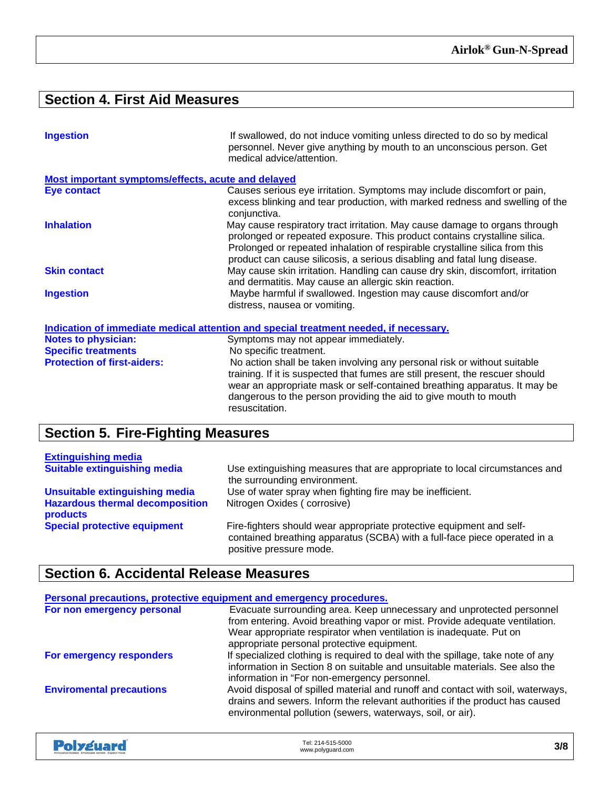### **Section 4. First Aid Measures**

| <b>Ingestion</b>                                   | If swallowed, do not induce vomiting unless directed to do so by medical<br>personnel. Never give anything by mouth to an unconscious person. Get<br>medical advice/attention.                                                                                                                                               |
|----------------------------------------------------|------------------------------------------------------------------------------------------------------------------------------------------------------------------------------------------------------------------------------------------------------------------------------------------------------------------------------|
| Most important symptoms/effects, acute and delayed |                                                                                                                                                                                                                                                                                                                              |
| <b>Eye contact</b>                                 | Causes serious eye irritation. Symptoms may include discomfort or pain,<br>excess blinking and tear production, with marked redness and swelling of the<br>conjunctiva.                                                                                                                                                      |
| <b>Inhalation</b>                                  | May cause respiratory tract irritation. May cause damage to organs through<br>prolonged or repeated exposure. This product contains crystalline silica.<br>Prolonged or repeated inhalation of respirable crystalline silica from this<br>product can cause silicosis, a serious disabling and fatal lung disease.           |
| <b>Skin contact</b>                                | May cause skin irritation. Handling can cause dry skin, discomfort, irritation<br>and dermatitis. May cause an allergic skin reaction.                                                                                                                                                                                       |
| <b>Ingestion</b>                                   | Maybe harmful if swallowed. Ingestion may cause discomfort and/or<br>distress, nausea or vomiting.                                                                                                                                                                                                                           |
|                                                    | Indication of immediate medical attention and special treatment needed, if necessary.                                                                                                                                                                                                                                        |
| <b>Notes to physician:</b>                         | Symptoms may not appear immediately.                                                                                                                                                                                                                                                                                         |
| <b>Specific treatments</b>                         | No specific treatment.                                                                                                                                                                                                                                                                                                       |
| <b>Protection of first-aiders:</b>                 | No action shall be taken involving any personal risk or without suitable<br>training. If it is suspected that fumes are still present, the rescuer should<br>wear an appropriate mask or self-contained breathing apparatus. It may be<br>dangerous to the person providing the aid to give mouth to mouth<br>resuscitation. |

## **Section 5. Fire-Fighting Measures**

| <b>Extinguishing media</b>                         |                                                                                                                                                                              |
|----------------------------------------------------|------------------------------------------------------------------------------------------------------------------------------------------------------------------------------|
| <b>Suitable extinguishing media</b>                | Use extinguishing measures that are appropriate to local circumstances and<br>the surrounding environment.                                                                   |
| Unsuitable extinguishing media                     | Use of water spray when fighting fire may be inefficient.                                                                                                                    |
| <b>Hazardous thermal decomposition</b><br>products | Nitrogen Oxides (corrosive)                                                                                                                                                  |
| <b>Special protective equipment</b>                | Fire-fighters should wear appropriate protective equipment and self-<br>contained breathing apparatus (SCBA) with a full-face piece operated in a<br>positive pressure mode. |

### **Section 6. Accidental Release Measures**

| Personal precautions, protective equipment and emergency procedures. |                                                                                                                                                                                                                                                                          |
|----------------------------------------------------------------------|--------------------------------------------------------------------------------------------------------------------------------------------------------------------------------------------------------------------------------------------------------------------------|
| For non emergency personal                                           | Evacuate surrounding area. Keep unnecessary and unprotected personnel<br>from entering. Avoid breathing vapor or mist. Provide adequate ventilation.<br>Wear appropriate respirator when ventilation is inadequate. Put on<br>appropriate personal protective equipment. |
| For emergency responders                                             | If specialized clothing is required to deal with the spillage, take note of any<br>information in Section 8 on suitable and unsuitable materials. See also the<br>information in "For non-emergency personnel.                                                           |
| <b>Enviromental precautions</b>                                      | Avoid disposal of spilled material and runoff and contact with soil, waterways,<br>drains and sewers. Inform the relevant authorities if the product has caused<br>environmental pollution (sewers, waterways, soil, or air).                                            |

| <b>Polyguard</b><br>Innovation based. Employee owned. Expect more. | Tel: 214-515-5000<br>www.polyguard.com | 3/8 |
|--------------------------------------------------------------------|----------------------------------------|-----|
|--------------------------------------------------------------------|----------------------------------------|-----|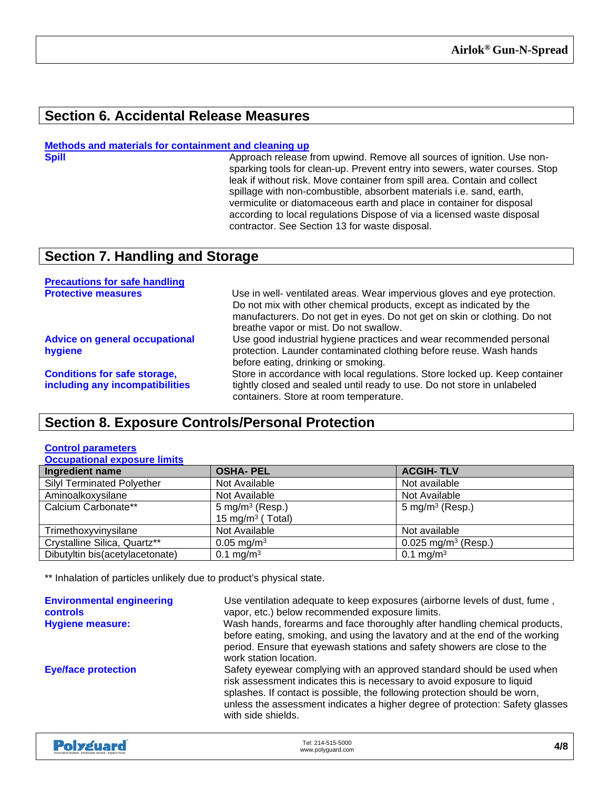### **Section 6. Accidental Release Measures**

## **Methods and materials for containment and cleaning up**

#### Approach release from upwind. Remove all sources of ignition. Use nonsparking tools for clean-up. Prevent entry into sewers, water courses. Stop leak if without risk. Move container from spill area. Contain and collect spillage with non-combustible, absorbent materials i.e. sand, earth, vermiculite or diatomaceous earth and place in container for disposal according to local regulations Dispose of via a licensed waste disposal contractor. See Section 13 for waste disposal.

### **Section 7. Handling and Storage**

| <b>Precautions for safe handling</b>                                   |                                                                                                                                                                                                                                                                         |
|------------------------------------------------------------------------|-------------------------------------------------------------------------------------------------------------------------------------------------------------------------------------------------------------------------------------------------------------------------|
| <b>Protective measures</b>                                             | Use in well- ventilated areas. Wear impervious gloves and eye protection.<br>Do not mix with other chemical products, except as indicated by the<br>manufacturers. Do not get in eyes. Do not get on skin or clothing. Do not<br>breathe vapor or mist. Do not swallow. |
| <b>Advice on general occupational</b><br>hygiene                       | Use good industrial hygiene practices and wear recommended personal<br>protection. Launder contaminated clothing before reuse. Wash hands<br>before eating, drinking or smoking.                                                                                        |
| <b>Conditions for safe storage,</b><br>including any incompatibilities | Store in accordance with local regulations. Store locked up. Keep container<br>tightly closed and sealed until ready to use. Do not store in unlabeled<br>containers. Store at room temperature.                                                                        |

### **Section 8. Exposure Controls/Personal Protection**

#### **Control parameters**

| <b>Occupational exposure limits</b> |                              |                                 |  |
|-------------------------------------|------------------------------|---------------------------------|--|
| Ingredient name                     | <b>OSHA-PEL</b>              | <b>ACGIH-TLV</b>                |  |
| <b>Silyl Terminated Polyether</b>   | Not Available                | Not available                   |  |
| Aminoalkoxysilane                   | Not Available                | Not Available                   |  |
| Calcium Carbonate**                 | 5 mg/m <sup>3</sup> (Resp.)  | 5 mg/m <sup>3</sup> (Resp.)     |  |
|                                     | 15 mg/m <sup>3</sup> (Total) |                                 |  |
| Trimethoxyvinysilane                | Not Available                | Not available                   |  |
| Crystalline Silica, Quartz**        | $0.05 \text{ mg/m}^3$        | 0.025 mg/m <sup>3</sup> (Resp.) |  |
| Dibutyltin bis(acetylacetonate)     | $0.1 \text{ mg/m}^3$         | 0.1 mg/m <sup>3</sup>           |  |

\*\* Inhalation of particles unlikely due to product's physical state.

| <b>Environmental engineering</b><br><b>controls</b><br><b>Hygiene measure:</b> | Use ventilation adequate to keep exposures (airborne levels of dust, fume,<br>vapor, etc.) below recommended exposure limits.<br>Wash hands, forearms and face thoroughly after handling chemical products,<br>before eating, smoking, and using the lavatory and at the end of the working<br>period. Ensure that eyewash stations and safety showers are close to the<br>work station location. |
|--------------------------------------------------------------------------------|---------------------------------------------------------------------------------------------------------------------------------------------------------------------------------------------------------------------------------------------------------------------------------------------------------------------------------------------------------------------------------------------------|
| <b>Eye/face protection</b>                                                     | Safety eyewear complying with an approved standard should be used when<br>risk assessment indicates this is necessary to avoid exposure to liquid<br>splashes. If contact is possible, the following protection should be worn,<br>unless the assessment indicates a higher degree of protection: Safety glasses<br>with side shields.                                                            |

| Polyguard<br>Tel: 214-515-5000<br>www.polyguard.com<br>Innovation based. Employee owned. Expect more. | 4/8 |
|-------------------------------------------------------------------------------------------------------|-----|
|-------------------------------------------------------------------------------------------------------|-----|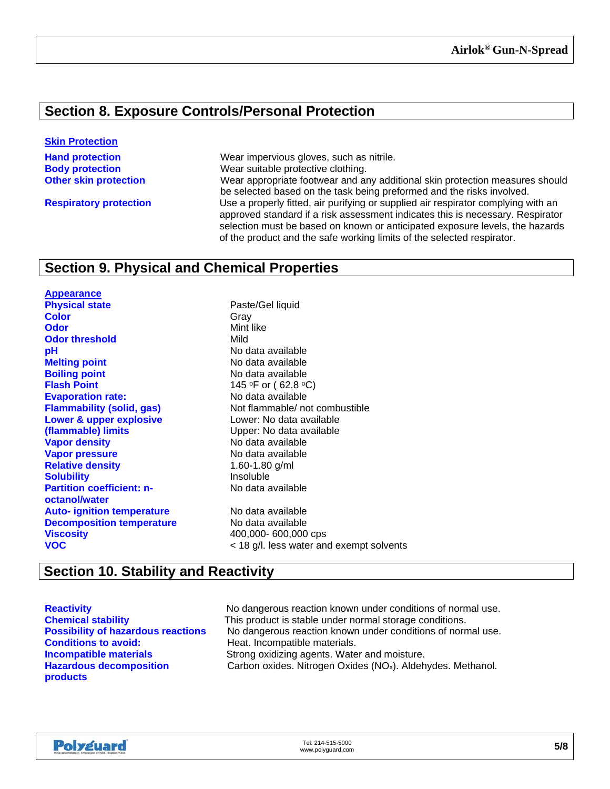### **Section 8. Exposure Controls/Personal Protection**

#### **Skin Protection**

**Hand protection** Wear impervious gloves, such as nitrile. **Body protection**<br> **Other skin protection**<br>
Wear appropriate footwear and a Wear appropriate footwear and any additional skin protection measures should be selected based on the task being preformed and the risks involved. **Respiratory protection** Use a properly fitted, air purifying or supplied air respirator complying with an approved standard if a risk assessment indicates this is necessary. Respirator selection must be based on known or anticipated exposure levels, the hazards of the product and the safe working limits of the selected respirator.

### **Section 9. Physical and Chemical Properties**

**Appearance Physical state Physical state Paste/Gel liquid Color** Gray **Odor** Mint like **Odor threshold** Mild **pH**<br> **pH** No data available<br> **Melting point**<br> **Melting point Boiling point**<br> **Boiling point**<br> **Elash Point**<br> **Clauding the Contract of the Section 145** °F or (62.8 °C) **Evaporation rate: Lower & upper explosive (flammable) limits Vapor density**<br> **Vapor pressure**<br> **Vapor pressure Vapor pressure** No data availal<br> **Relative density**<br> **Relative density**<br> **Relative density Relative density Solubility Insoluble Partition coefficient: noctanol/water Auto- ignition temperature** No data available **Decomposition temperature** No data available **Viscosity** 400,000-600,000 cps **VOC** < 18 g/l. less water and exempt solvents

**Melting point** No data available **145 °F or (62.8 °C)**<br>No data available **Flammability (solid, gas)** Not flammable/ not combustible Lower: No data available Upper: No data available No data available

### **Section 10. Stability and Reactivity**

**Hazardous decomposition products**

**Reactivity Reactivity** No dangerous reaction known under conditions of normal use.<br> **Chemical stability** This product is stable under normal storage conditions. This product is stable under normal storage conditions. **Possibility of hazardous reactions** No dangerous reaction known under conditions of normal use.<br> **Conditions to avoid:** Formation of Heat. Incompatible materials. Heat. Incompatible materials. **Incompatible materials Strong oxidizing agents. Water and moisture.** Carbon oxides. Nitrogen Oxides (NOx). Aldehydes. Methanol.

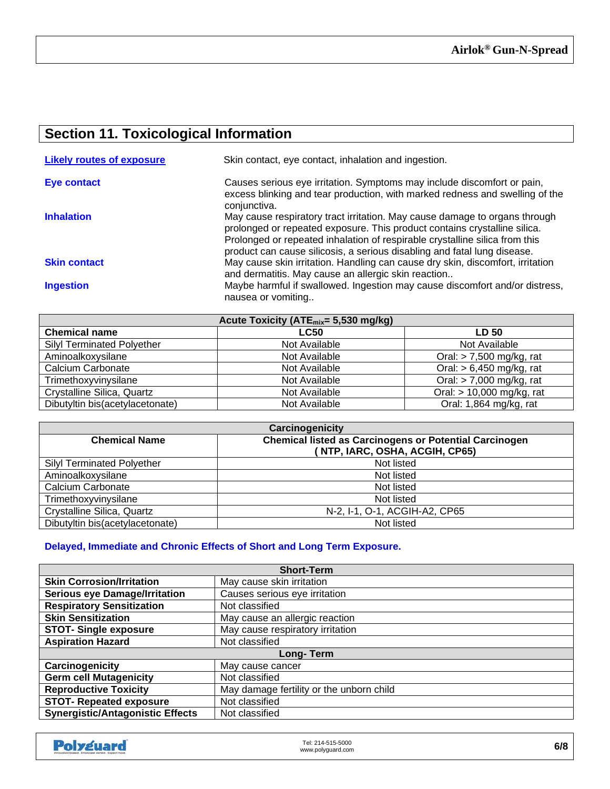### **Section 11. Toxicological Information**

| <b>Likely routes of exposure</b> | Skin contact, eye contact, inhalation and ingestion.                                                                                                                                                                                                                                                               |
|----------------------------------|--------------------------------------------------------------------------------------------------------------------------------------------------------------------------------------------------------------------------------------------------------------------------------------------------------------------|
| Eye contact                      | Causes serious eye irritation. Symptoms may include discomfort or pain,<br>excess blinking and tear production, with marked redness and swelling of the<br>conjunctiva.                                                                                                                                            |
| <b>Inhalation</b>                | May cause respiratory tract irritation. May cause damage to organs through<br>prolonged or repeated exposure. This product contains crystalline silica.<br>Prolonged or repeated inhalation of respirable crystalline silica from this<br>product can cause silicosis, a serious disabling and fatal lung disease. |
| <b>Skin contact</b>              | May cause skin irritation. Handling can cause dry skin, discomfort, irritation<br>and dermatitis. May cause an allergic skin reaction                                                                                                                                                                              |
| <b>Ingestion</b>                 | Maybe harmful if swallowed. Ingestion may cause discomfort and/or distress,<br>nausea or vomiting                                                                                                                                                                                                                  |

| Acute Toxicity (ATE <sub>mix</sub> = 5,530 mg/kg) |               |                            |
|---------------------------------------------------|---------------|----------------------------|
| <b>Chemical name</b>                              | <b>LC50</b>   | <b>LD 50</b>               |
| <b>Silyl Terminated Polyether</b>                 | Not Available | Not Available              |
| Aminoalkoxysilane                                 | Not Available | Oral: $> 7,500$ mg/kg, rat |
| Calcium Carbonate                                 | Not Available | Oral: $> 6,450$ mg/kg, rat |
| Trimethoxyvinysilane                              | Not Available | Oral: $> 7,000$ mg/kg, rat |
| Crystalline Silica, Quartz                        | Not Available | Oral: > 10,000 mg/kg, rat  |
| Dibutyltin bis(acetylacetonate)                   | Not Available | Oral: 1,864 mg/kg, rat     |

| Carcinogenicity                                                                       |                                |  |
|---------------------------------------------------------------------------------------|--------------------------------|--|
| <b>Chemical listed as Carcinogens or Potential Carcinogen</b><br><b>Chemical Name</b> |                                |  |
|                                                                                       | (NTP, IARC, OSHA, ACGIH, CP65) |  |
| <b>Silyl Terminated Polyether</b>                                                     | Not listed                     |  |
| Aminoalkoxysilane                                                                     | Not listed                     |  |
| Calcium Carbonate                                                                     | Not listed                     |  |
| Trimethoxyvinysilane                                                                  | Not listed                     |  |
| Crystalline Silica, Quartz                                                            | N-2, I-1, O-1, ACGIH-A2, CP65  |  |
| Dibutyltin bis(acetylacetonate)                                                       | Not listed                     |  |

#### **Delayed, Immediate and Chronic Effects of Short and Long Term Exposure.**

| <b>Short-Term</b>                       |                                          |  |
|-----------------------------------------|------------------------------------------|--|
| <b>Skin Corrosion/Irritation</b>        | May cause skin irritation                |  |
| <b>Serious eye Damage/Irritation</b>    | Causes serious eye irritation            |  |
| <b>Respiratory Sensitization</b>        | Not classified                           |  |
| <b>Skin Sensitization</b>               | May cause an allergic reaction           |  |
| <b>STOT-Single exposure</b>             | May cause respiratory irritation         |  |
| <b>Aspiration Hazard</b>                | Not classified                           |  |
| Long-Term                               |                                          |  |
| Carcinogenicity                         | May cause cancer                         |  |
| <b>Germ cell Mutagenicity</b>           | Not classified                           |  |
| <b>Reproductive Toxicity</b>            | May damage fertility or the unborn child |  |
| <b>STOT- Repeated exposure</b>          | Not classified                           |  |
| <b>Synergistic/Antagonistic Effects</b> | Not classified                           |  |

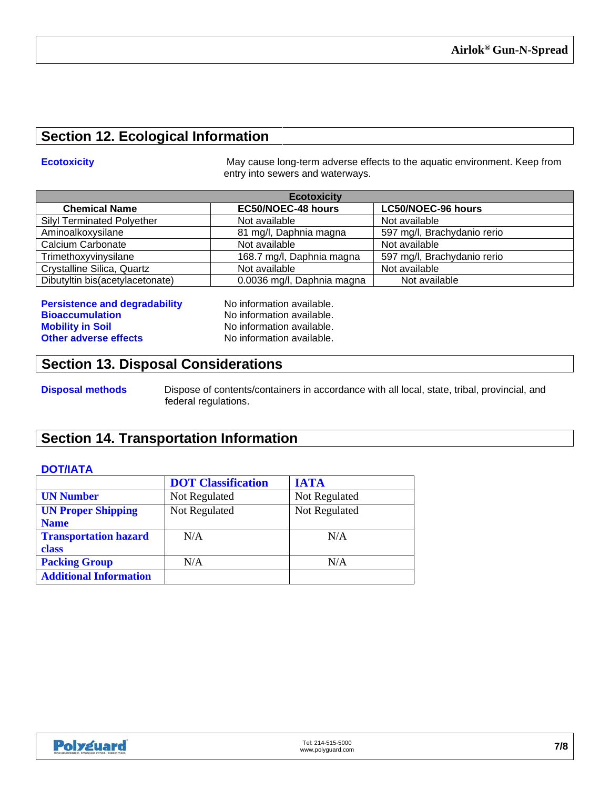### **Section 12. Ecological Information**

**Ecotoxicity Example 20 Interval 20 Increment May cause long-term adverse effects to the aquatic environment. Keep from** entry into sewers and waterways.

| <b>Ecotoxicity</b>                |                            |                             |
|-----------------------------------|----------------------------|-----------------------------|
| <b>Chemical Name</b>              | EC50/NOEC-48 hours         | <b>LC50/NOEC-96 hours</b>   |
| <b>Silyl Terminated Polyether</b> | Not available              | Not available               |
| Aminoalkoxysilane                 | 81 mg/l, Daphnia magna     | 597 mg/l, Brachydanio rerio |
| Calcium Carbonate                 | Not available              | Not available               |
| Trimethoxyvinysilane              | 168.7 mg/l, Daphnia magna  | 597 mg/l, Brachydanio rerio |
| Crystalline Silica, Quartz        | Not available              | Not available               |
| Dibutyltin bis(acetylacetonate)   | 0.0036 mg/l, Daphnia magna | Not available               |

**Persistence and degradability** No information available. **Bioaccumulation**<br> **Bioaccumulation**<br> **Monomiation Available.**<br>
No information available. **Other adverse effects** 

No information available.<br>
No information available.

#### **Section 13. Disposal Considerations**

**Disposal methods** Dispose of contents/containers in accordance with all local, state, tribal, provincial, and federal regulations.

### **Section 14. Transportation Information**

#### **DOT/IATA**

|                               | <b>DOT</b> Classification | <b>IATA</b>   |
|-------------------------------|---------------------------|---------------|
| <b>UN Number</b>              | Not Regulated             | Not Regulated |
| <b>UN Proper Shipping</b>     | Not Regulated             | Not Regulated |
| <b>Name</b>                   |                           |               |
| <b>Transportation hazard</b>  | N/A                       | N/A           |
| <b>class</b>                  |                           |               |
| <b>Packing Group</b>          | N/A                       | N/A           |
| <b>Additional Information</b> |                           |               |